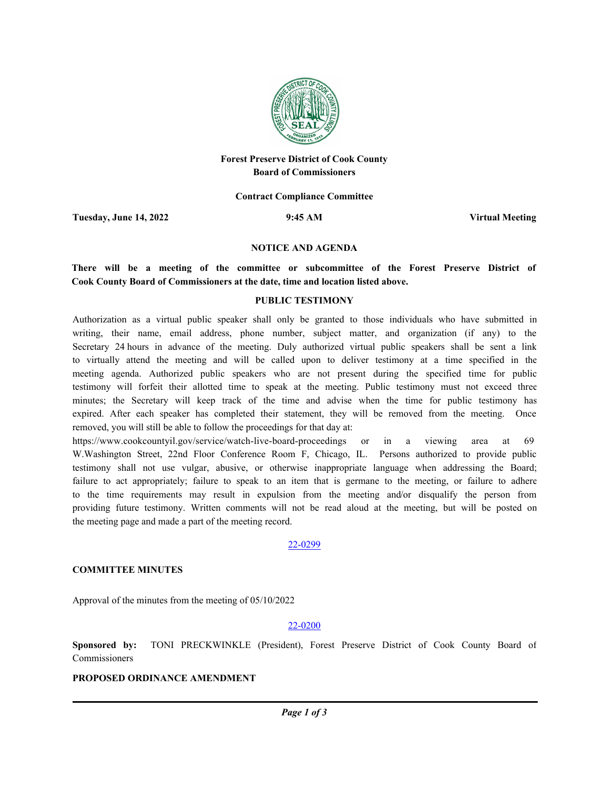

# **Forest Preserve District of Cook County Board of Commissioners**

**Contract Compliance Committee**

**Tuesday, June 14, 2022 9:45 AM Virtual Meeting**

#### **NOTICE AND AGENDA**

**There will be a meeting of the committee or subcommittee of the Forest Preserve District of Cook County Board of Commissioners at the date, time and location listed above.**

### **PUBLIC TESTIMONY**

Authorization as a virtual public speaker shall only be granted to those individuals who have submitted in writing, their name, email address, phone number, subject matter, and organization (if any) to the Secretary 24 hours in advance of the meeting. Duly authorized virtual public speakers shall be sent a link to virtually attend the meeting and will be called upon to deliver testimony at a time specified in the meeting agenda. Authorized public speakers who are not present during the specified time for public testimony will forfeit their allotted time to speak at the meeting. Public testimony must not exceed three minutes; the Secretary will keep track of the time and advise when the time for public testimony has expired. After each speaker has completed their statement, they will be removed from the meeting. Once removed, you will still be able to follow the proceedings for that day at:

https://www.cookcountyil.gov/service/watch-live-board-proceedings or in a viewing area at 69 W.Washington Street, 22nd Floor Conference Room F, Chicago, IL. Persons authorized to provide public testimony shall not use vulgar, abusive, or otherwise inappropriate language when addressing the Board; failure to act appropriately; failure to speak to an item that is germane to the meeting, or failure to adhere to the time requirements may result in expulsion from the meeting and/or disqualify the person from providing future testimony. Written comments will not be read aloud at the meeting, but will be posted on the meeting page and made a part of the meeting record.

#### 22-0299

### **COMMITTEE MINUTES**

Approval of the minutes from the meeting of 05/10/2022

#### 22-0200

**Sponsored by:** TONI PRECKWINKLE (President), Forest Preserve District of Cook County Board of Commissioners

### **PROPOSED ORDINANCE AMENDMENT**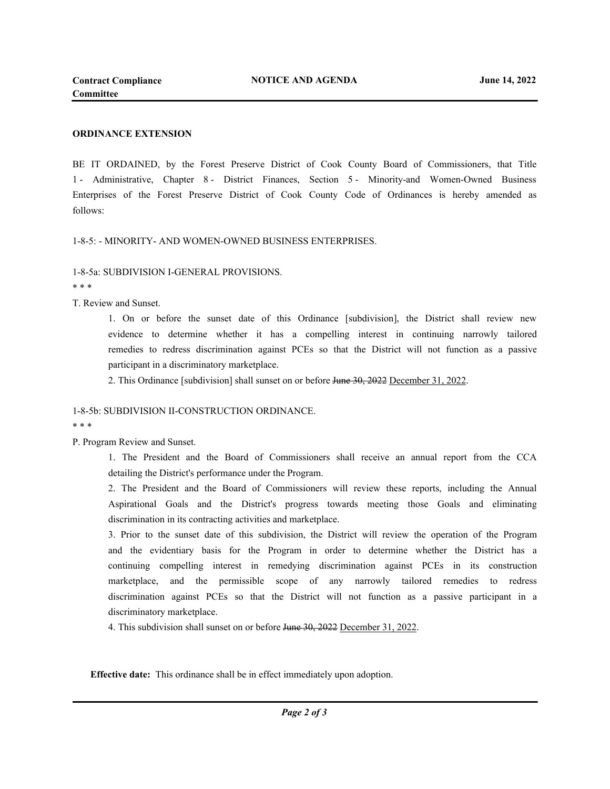### **ORDINANCE EXTENSION**

BE IT ORDAINED, by the Forest Preserve District of Cook County Board of Commissioners, that Title 1 - Administrative, Chapter 8 - District Finances, Section 5 - Minority-and Women-Owned Business Enterprises of the Forest Preserve District of Cook County Code of Ordinances is hereby amended as follows:

#### 1-8-5: - MINORITY- AND WOMEN-OWNED BUSINESS ENTERPRISES.

## 1-8-5a: SUBDIVISION I-GENERAL PROVISIONS.

\* \* \*

T. Review and Sunset.

1. On or before the sunset date of this Ordinance [subdivision], the District shall review new evidence to determine whether it has a compelling interest in continuing narrowly tailored remedies to redress discrimination against PCEs so that the District will not function as a passive participant in a discriminatory marketplace.

2. This Ordinance [subdivision] shall sunset on or before June 30, 2022 December 31, 2022.

### 1-8-5b: SUBDIVISION II-CONSTRUCTION ORDINANCE.

\* \* \*

P. Program Review and Sunset.

1. The President and the Board of Commissioners shall receive an annual report from the CCA detailing the District's performance under the Program.

2. The President and the Board of Commissioners will review these reports, including the Annual Aspirational Goals and the District's progress towards meeting those Goals and eliminating discrimination in its contracting activities and marketplace.

3. Prior to the sunset date of this subdivision, the District will review the operation of the Program and the evidentiary basis for the Program in order to determine whether the District has a continuing compelling interest in remedying discrimination against PCEs in its construction marketplace, and the permissible scope of any narrowly tailored remedies to redress discrimination against PCEs so that the District will not function as a passive participant in a discriminatory marketplace.

4. This subdivision shall sunset on or before June 30, 2022 December 31, 2022.

**Effective date:** This ordinance shall be in effect immediately upon adoption.